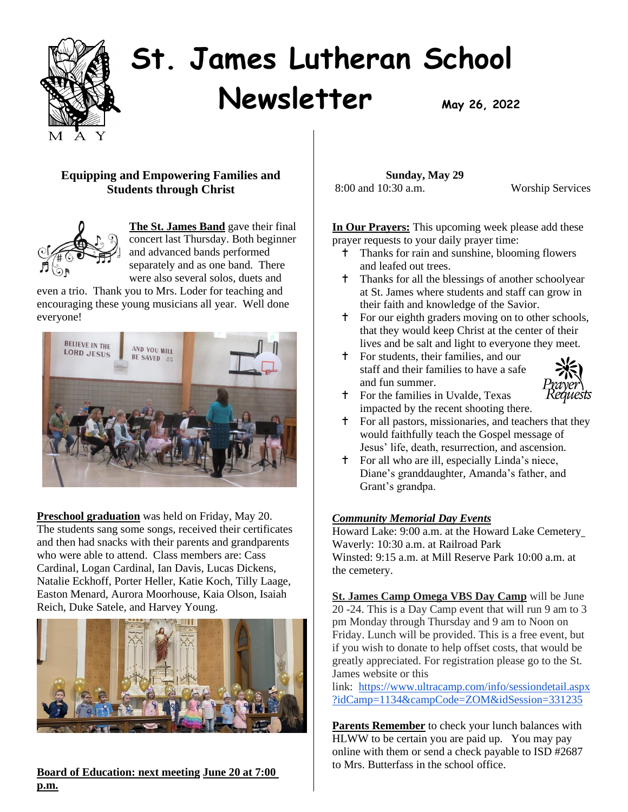

# **St. James Lutheran School Newsletter**  $M_{\text{day 26, 2022}}$

# **Equipping and Empowering Families and Students through Christ**



**The St. James Band** gave their final concert last Thursday. Both beginner and advanced bands performed separately and as one band. There were also several solos, duets and

even a trio. Thank you to Mrs. Loder for teaching and encouraging these young musicians all year. Well done everyone!



**Preschool graduation** was held on Friday, May 20. The students sang some songs, received their certificates and then had snacks with their parents and grandparents who were able to attend. Class members are: Cass Cardinal, Logan Cardinal, Ian Davis, Lucas Dickens, Natalie Eckhoff, Porter Heller, Katie Koch, Tilly Laage, Easton Menard, Aurora Moorhouse, Kaia Olson, Isaiah Reich, Duke Satele, and Harvey Young.



**Board of Education: next meeting June 20 at 7:00 p.m.** 

 **Sunday, May 29** 8:00 and 10:30 a.m. Worship Services

**In Our Prayers:** This upcoming week please add these prayer requests to your daily prayer time:

- Thanks for rain and sunshine, blooming flowers and leafed out trees.
- Thanks for all the blessings of another schoolyear at St. James where students and staff can grow in their faith and knowledge of the Savior.
- For our eighth graders moving on to other schools, that they would keep Christ at the center of their lives and be salt and light to everyone they meet.
- For students, their families, and our staff and their families to have a safe and fun summer.



- For the families in Uvalde, Texas impacted by the recent shooting there.
- For all pastors, missionaries, and teachers that they would faithfully teach the Gospel message of Jesus' life, death, resurrection, and ascension.
- For all who are ill, especially Linda's niece, Diane's granddaughter, Amanda's father, and Grant's grandpa.

# *Community Memorial Day Events*

Howard Lake: 9:00 a.m. at the Howard Lake Cemetery Waverly: 10:30 a.m. at Railroad Park Winsted: 9:15 a.m. at Mill Reserve Park 10:00 a.m. at the cemetery.

**St. James Camp Omega VBS Day Camp** will be June 20 -24. This is a Day Camp event that will run 9 am to 3 pm Monday through Thursday and 9 am to Noon on Friday. Lunch will be provided. This is a free event, but if you wish to donate to help offset costs, that would be greatly appreciated. For registration please go to the St. James website or this

link: [https://www.ultracamp.com/info/sessiondetail.aspx](https://www.ultracamp.com/info/sessiondetail.aspx?idCamp=1134&campCode=ZOM&idSession=331235) [?idCamp=1134&campCode=ZOM&idSession=331235](https://www.ultracamp.com/info/sessiondetail.aspx?idCamp=1134&campCode=ZOM&idSession=331235)

**Parents Remember** to check your lunch balances with HLWW to be certain you are paid up. You may pay online with them or send a check payable to ISD #2687 to Mrs. Butterfass in the school office.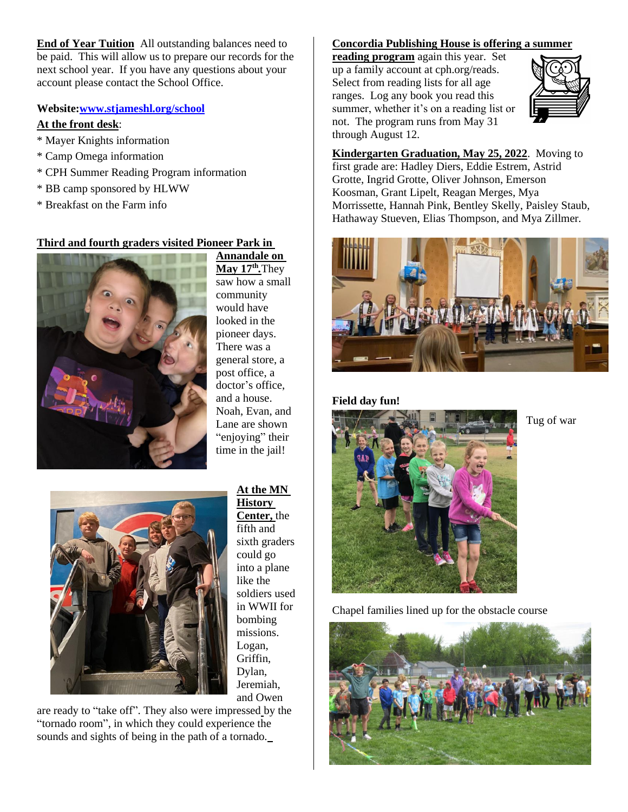**End of Year Tuition** All outstanding balances need to be paid. This will allow us to prepare our records for the next school year. If you have any questions about your account please contact the School Office.

#### **Website[:www.stjameshl.org/school](http://www.stjameshl.org/school)**

#### **At the front desk**:

- \* Mayer Knights information
- \* Camp Omega information
- \* CPH Summer Reading Program information
- \* BB camp sponsored by HLWW
- \* Breakfast on the Farm info

# **Third and fourth graders visited Pioneer Park in**



**Annandale on May 17 th** *.*They saw how a small community would have looked in the pioneer days. There was a general store, a post office, a doctor's office, and a house. Noah, Evan, and Lane are shown "enjoying" their time in the jail!



# **At the MN**

**History Center,** the fifth and sixth graders could go into a plane like the soldiers used in WWII for bombing missions. Logan, Griffin, Dylan, Jeremiah, and Owen

are ready to "take off". They also were impressed by the "tornado room", in which they could experience the sounds and sights of being in the path of a tornado.

## **Concordia Publishing House is offering a summer**

**reading program** again this year. Set up a family account at cph.org/reads. Select from reading lists for all age ranges. Log any book you read this summer, whether it's on a reading list or not. The program runs from May 31 through August 12.



**Kindergarten Graduation, May 25, 2022**. Moving to first grade are: Hadley Diers, Eddie Estrem, Astrid Grotte, Ingrid Grotte, Oliver Johnson, Emerson Koosman, Grant Lipelt, Reagan Merges, Mya Morrissette, Hannah Pink, Bentley Skelly, Paisley Staub, Hathaway Stueven, Elias Thompson, and Mya Zillmer.



#### **Field day fun!**



Tug of war

Chapel families lined up for the obstacle course